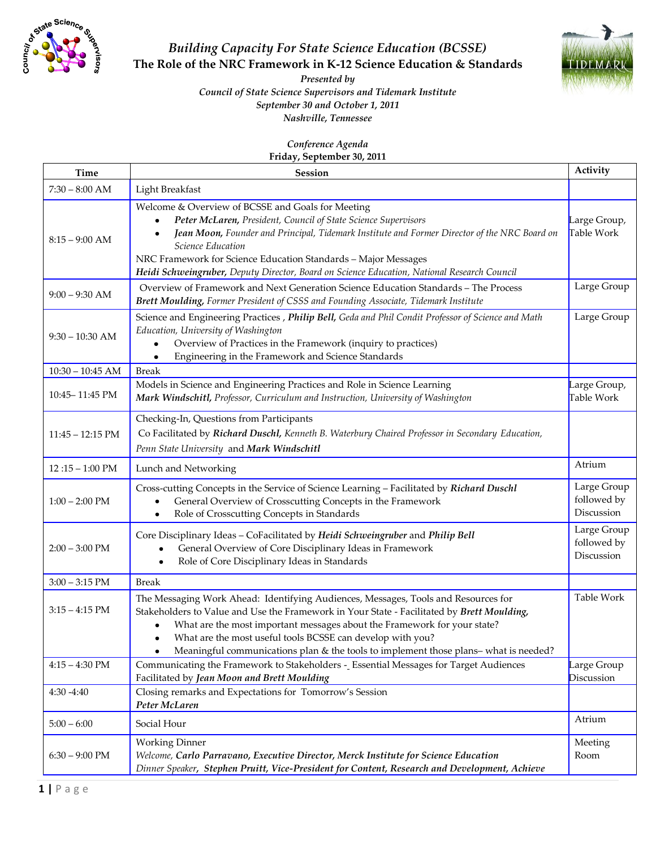

## *Building Capacity For State Science Education (BCSSE)* **The Role of the NRC Framework in K-12 Science Education & Standards**



*Presented by Council of State Science Supervisors and Tidemark Institute September 30 and October 1, 2011 Nashville, Tennessee*

*Conference Agenda*

**Friday, September 30, 2011**

| Time                       | Session                                                                                                                                                                                                                                                                                                                                                                                                                        | Activity                                 |
|----------------------------|--------------------------------------------------------------------------------------------------------------------------------------------------------------------------------------------------------------------------------------------------------------------------------------------------------------------------------------------------------------------------------------------------------------------------------|------------------------------------------|
| $7:30 - 8:00$ AM           | Light Breakfast                                                                                                                                                                                                                                                                                                                                                                                                                |                                          |
| $8:15 - 9:00$ AM           | Welcome & Overview of BCSSE and Goals for Meeting<br>Peter McLaren, President, Council of State Science Supervisors<br>$\bullet$<br>Jean Moon, Founder and Principal, Tidemark Institute and Former Director of the NRC Board on<br>Science Education<br>NRC Framework for Science Education Standards - Major Messages<br>Heidi Schweingruber, Deputy Director, Board on Science Education, National Research Council         | Large Group,<br>Table Work               |
| $9:00 - 9:30$ AM           | Overview of Framework and Next Generation Science Education Standards - The Process<br>Brett Moulding, Former President of CSSS and Founding Associate, Tidemark Institute                                                                                                                                                                                                                                                     | Large Group                              |
| $9:30 - 10:30$ AM          | Science and Engineering Practices, Philip Bell, Geda and Phil Condit Professor of Science and Math<br>Education, University of Washington<br>Overview of Practices in the Framework (inquiry to practices)<br>$\bullet$<br>Engineering in the Framework and Science Standards<br>٠                                                                                                                                             | Large Group                              |
| $10:30 - 10:45$ AM         | <b>Break</b>                                                                                                                                                                                                                                                                                                                                                                                                                   |                                          |
| 10:45-11:45 PM             | Models in Science and Engineering Practices and Role in Science Learning<br>Mark Windschitl, Professor, Curriculum and Instruction, University of Washington                                                                                                                                                                                                                                                                   | Large Group,<br>Table Work               |
| $11:45 - 12:15 \text{ PM}$ | Checking-In, Questions from Participants<br>Co Facilitated by Richard Duschl, Kenneth B. Waterbury Chaired Professor in Secondary Education,<br>Penn State University and Mark Windschitl                                                                                                                                                                                                                                      |                                          |
| $12:15 - 1:00 \text{ PM}$  | Lunch and Networking                                                                                                                                                                                                                                                                                                                                                                                                           | Atrium                                   |
| $1:00 - 2:00$ PM           | Cross-cutting Concepts in the Service of Science Learning - Facilitated by Richard Duschl<br>General Overview of Crosscutting Concepts in the Framework<br>Role of Crosscutting Concepts in Standards<br>٠                                                                                                                                                                                                                     | Large Group<br>followed by<br>Discussion |
| $2:00 - 3:00$ PM           | Core Disciplinary Ideas - CoFacilitated by Heidi Schweingruber and Philip Bell<br>General Overview of Core Disciplinary Ideas in Framework<br>Role of Core Disciplinary Ideas in Standards                                                                                                                                                                                                                                     | Large Group<br>followed by<br>Discussion |
| $3:00 - 3:15$ PM           | <b>Break</b>                                                                                                                                                                                                                                                                                                                                                                                                                   |                                          |
| $3:15 - 4:15$ PM           | The Messaging Work Ahead: Identifying Audiences, Messages, Tools and Resources for<br>Stakeholders to Value and Use the Framework in Your State - Facilitated by Brett Moulding,<br>What are the most important messages about the Framework for your state?<br>What are the most useful tools BCSSE can develop with you?<br>$\bullet$<br>Meaningful communications plan & the tools to implement those plans-what is needed? | <b>Table Work</b>                        |
| $4:15 - 4:30$ PM           | Communicating the Framework to Stakeholders - Essential Messages for Target Audiences<br>Facilitated by Jean Moon and Brett Moulding                                                                                                                                                                                                                                                                                           | Large Group<br><b>Discussion</b>         |
| 4:30 -4:40                 | Closing remarks and Expectations for Tomorrow's Session<br>Peter McLaren                                                                                                                                                                                                                                                                                                                                                       |                                          |
| $5:00 - 6:00$              | Social Hour                                                                                                                                                                                                                                                                                                                                                                                                                    | Atrium                                   |
| $6:30 - 9:00 \text{ PM}$   | <b>Working Dinner</b><br>Welcome, Carlo Parravano, Executive Director, Merck Institute for Science Education<br>Dinner Speaker, Stephen Pruitt, Vice-President for Content, Research and Development, Achieve                                                                                                                                                                                                                  | Meeting<br>Room                          |